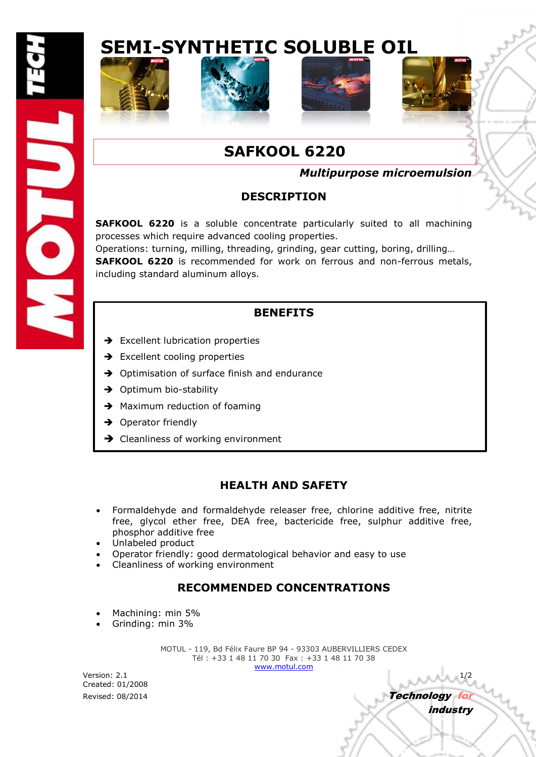# **SEMI-SYNTHETIC SOLUBLE OIL**









industry

## **SAFKOOL 6220**

### *Multipurpose microemulsion*

### **DESCRIPTION**

**SAFKOOL 6220** is a soluble concentrate particularly suited to all machining processes which require advanced cooling properties.

Operations: turning, milling, threading, grinding, gear cutting, boring, drilling… **SAFKOOL 6220** is recommended for work on ferrous and non-ferrous metals, including standard aluminum alloys.

### **BENEFITS**

- $\rightarrow$  Excellent lubrication properties
- $\rightarrow$  Excellent cooling properties
- $\rightarrow$  Optimisation of surface finish and endurance
- $\rightarrow$  Optimum bio-stability
- $\rightarrow$  Maximum reduction of foaming
- $\rightarrow$  Operator friendly
- $\rightarrow$  Cleanliness of working environment

### **HEALTH AND SAFETY**

- Formaldehyde and formaldehyde releaser free, chlorine additive free, nitrite free, glycol ether free, DEA free, bactericide free, sulphur additive free, phosphor additive free
- Unlabeled product
- Operator friendly: good dermatological behavior and easy to use
- Cleanliness of working environment

### **RECOMMENDED CONCENTRATIONS**

- Machining: min 5%
- Grinding: min 3%

MOTUL - 119, Bd Félix Faure BP 94 - 93303 AUBERVILLIERS CEDEX Tél : +33 1 48 11 70 30 Fax : +33 1 48 11 70 38 www.motul.com

Version: 2.1 1/2 Created: 01/2008 Revised: 08/2014 **Technology for the Contract of Technology for the Technology for the Technology for the Technology for the Technology for the Technology for the Technology for the Technology for the Technology for the Te**